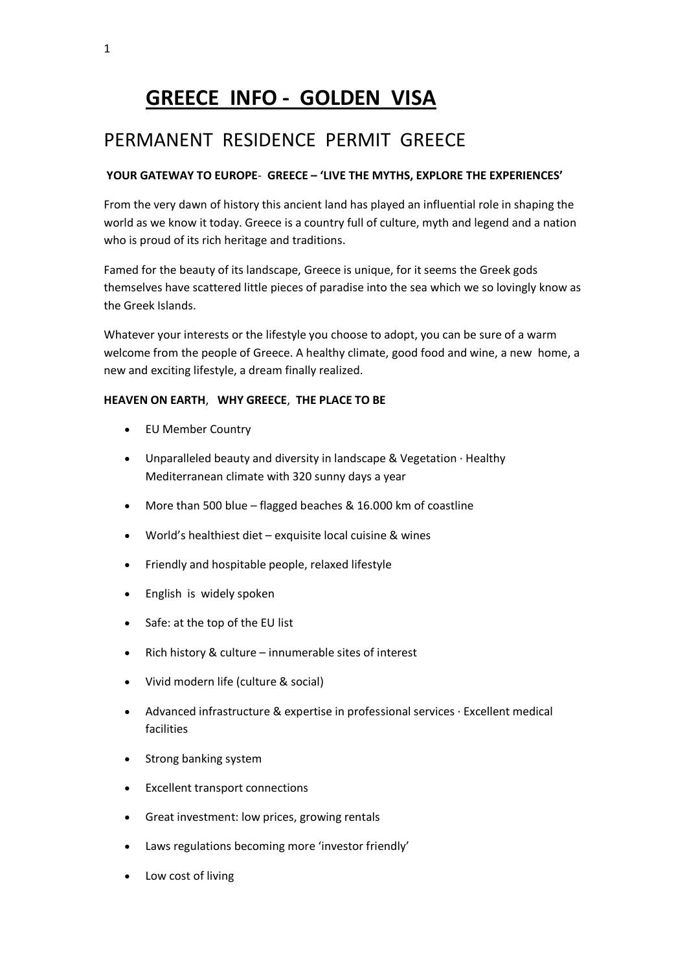# **GREECE INFO - GOLDEN VISA**

## PERMANENT RESIDENCE PERMIT GREECE

## **YOUR GATEWAY TO EUROPE**- **GREECE – 'LIVE THE MYTHS, EXPLORE THE EXPERIENCES'**

From the very dawn of history this ancient land has played an influential role in shaping the world as we know it today. Greece is a country full of culture, myth and legend and a nation who is proud of its rich heritage and traditions.

Famed for the beauty of its landscape, Greece is unique, for it seems the Greek gods themselves have scattered little pieces of paradise into the sea which we so lovingly know as the Greek Islands.

Whatever your interests or the lifestyle you choose to adopt, you can be sure of a warm welcome from the people of Greece. A healthy climate, good food and wine, a new home, a new and exciting lifestyle, a dream finally realized.

## **HEAVEN ON EARTH**, **WHY GREECE**, **THE PLACE TO BE**

- EU Member Country
- Unparalleled beauty and diversity in landscape & Vegetation · Healthy Mediterranean climate with 320 sunny days a year
- More than 500 blue flagged beaches & 16.000 km of coastline
- World's healthiest diet exquisite local cuisine & wines
- Friendly and hospitable people, relaxed lifestyle
- English is widely spoken
- Safe: at the top of the EU list
- Rich history & culture innumerable sites of interest
- Vivid modern life (culture & social)
- Advanced infrastructure & expertise in professional services · Excellent medical facilities
- Strong banking system
- Excellent transport connections
- Great investment: low prices, growing rentals
- Laws regulations becoming more 'investor friendly'
- Low cost of living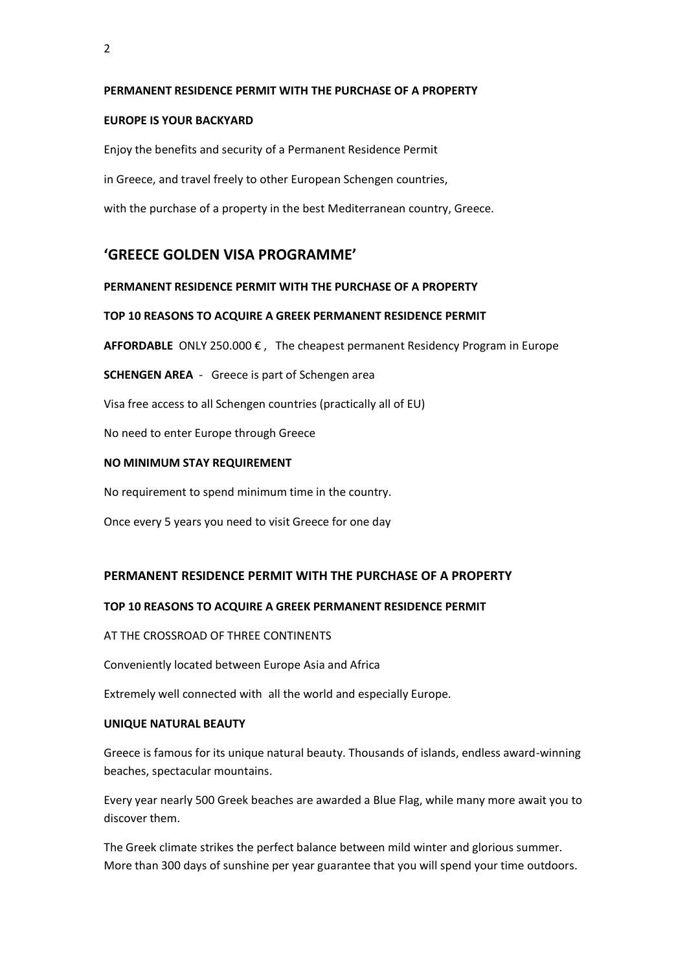#### **PERMANENT RESIDENCE PERMIT WITH THE PURCHASE OF A PROPERTY**

#### **EUROPE IS YOUR BACKYARD**

Enjoy the benefits and security of a Permanent Residence Permit

in Greece, and travel freely to other European Schengen countries,

with the purchase of a property in the best Mediterranean country, Greece.

## **'GREECE GOLDEN VISA PROGRAMME'**

#### **PERMANENT RESIDENCE PERMIT WITH THE PURCHASE OF A PROPERTY**

#### **TOP 10 REASONS TO ACQUIRE A GREEK PERMANENT RESIDENCE PERMIT**

**AFFORDABLE** ONLY 250.000  $\epsilon$ , The cheapest permanent Residency Program in Europe

**SCHENGEN AREA** - Greece is part of Schengen area

Visa free access to all Schengen countries (practically all of EU)

No need to enter Europe through Greece

#### **NO MINIMUM STAY REQUIREMENT**

No requirement to spend minimum time in the country.

Once every 5 years you need to visit Greece for one day

#### **PERMANENT RESIDENCE PERMIT WITH THE PURCHASE OF A PROPERTY**

## **TOP 10 REASONS TO ACQUIRE A GREEK PERMANENT RESIDENCE PERMIT**

AT THE CROSSROAD OF THREE CONTINENTS

Conveniently located between Europe Asia and Africa

Extremely well connected with all the world and especially Europe.

#### **UNIQUE NATURAL BEAUTY**

Greece is famous for its unique natural beauty. Thousands of islands, endless award-winning beaches, spectacular mountains.

Every year nearly 500 Greek beaches are awarded a Blue Flag, while many more await you to discover them.

The Greek climate strikes the perfect balance between mild winter and glorious summer. More than 300 days of sunshine per year guarantee that you will spend your time outdoors.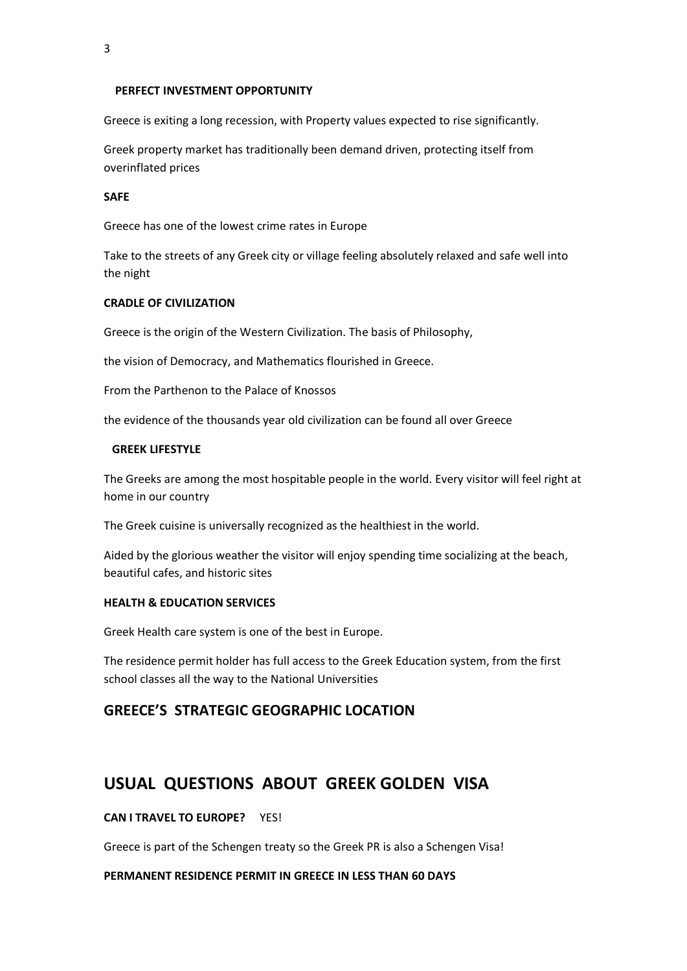3

#### **PERFECT INVESTMENT OPPORTUNITY**

Greece is exiting a long recession, with Property values expected to rise significantly.

Greek property market has traditionally been demand driven, protecting itself from overinflated prices

#### **SAFE**

Greece has one of the lowest crime rates in Europe

Take to the streets of any Greek city or village feeling absolutely relaxed and safe well into the night

#### **CRADLE OF CIVILIZATION**

Greece is the origin of the Western Civilization. The basis of Philosophy,

the vision of Democracy, and Mathematics flourished in Greece.

From the Parthenon to the Palace of Knossos

the evidence of the thousands year old civilization can be found all over Greece

#### **GREEK LIFESTYLE**

The Greeks are among the most hospitable people in the world. Every visitor will feel right at home in our country

The Greek cuisine is universally recognized as the healthiest in the world.

Aided by the glorious weather the visitor will enjoy spending time socializing at the beach, beautiful cafes, and historic sites

#### **HEALTH & EDUCATION SERVICES**

Greek Health care system is one of the best in Europe.

The residence permit holder has full access to the Greek Education system, from the first school classes all the way to the National Universities

## **GREECE'S STRATEGIC GEOGRAPHIC LOCATION**

## **USUAL QUESTIONS ABOUT GREEK GOLDEN VISA**

**CAN I TRAVEL TO EUROPE?** YES!

Greece is part of the Schengen treaty so the Greek PR is also a Schengen Visa!

#### **PERMANENT RESIDENCE PERMIT IN GREECE IN LESS THAN 60 DAYS**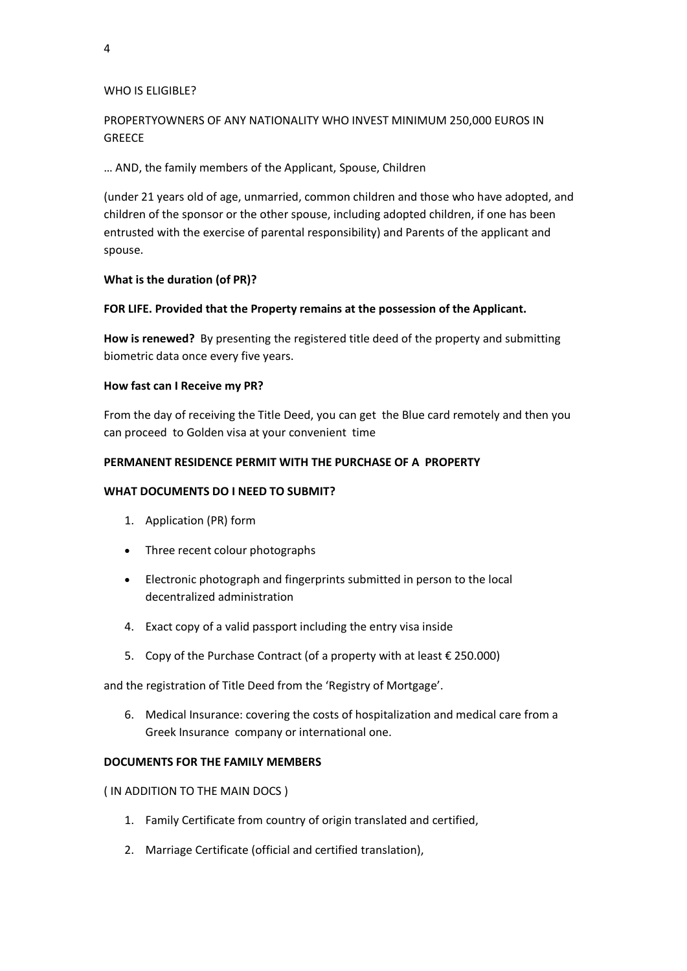#### WHO IS ELIGIBLE?

## PROPERTYOWNERS OF ANY NATIONALITY WHO INVEST MINIMUM 250,000 EUROS IN **GREECE**

### … AND, the family members of the Applicant, Spouse, Children

(under 21 years old of age, unmarried, common children and those who have adopted, and children of the sponsor or the other spouse, including adopted children, if one has been entrusted with the exercise of parental responsibility) and Parents of the applicant and spouse.

#### **What is the duration (of PR)?**

## **FOR LIFE. Provided that the Property remains at the possession of the Applicant.**

**How is renewed?** By presenting the registered title deed of the property and submitting biometric data once every five years.

#### **How fast can I Receive my PR?**

From the day of receiving the Title Deed, you can get the Blue card remotely and then you can proceed to Golden visa at your convenient time

## **PERMANENT RESIDENCE PERMIT WITH THE PURCHASE OF A PROPERTY**

#### **WHAT DOCUMENTS DO I NEED TO SUBMIT?**

- 1. Application (PR) form
- Three recent colour photographs
- Electronic photograph and fingerprints submitted in person to the local decentralized administration
- 4. Exact copy of a valid passport including the entry visa inside
- 5. Copy of the Purchase Contract (of a property with at least € 250.000)

and the registration of Title Deed from the 'Registry of Mortgage'.

6. Medical Insurance: covering the costs of hospitalization and medical care from a Greek Insurance company or international one.

#### **DOCUMENTS FOR THE FAMILY MEMBERS**

( IN ADDITION TO THE MAIN DOCS )

- 1. Family Certificate from country of origin translated and certified,
- 2. Marriage Certificate (official and certified translation),